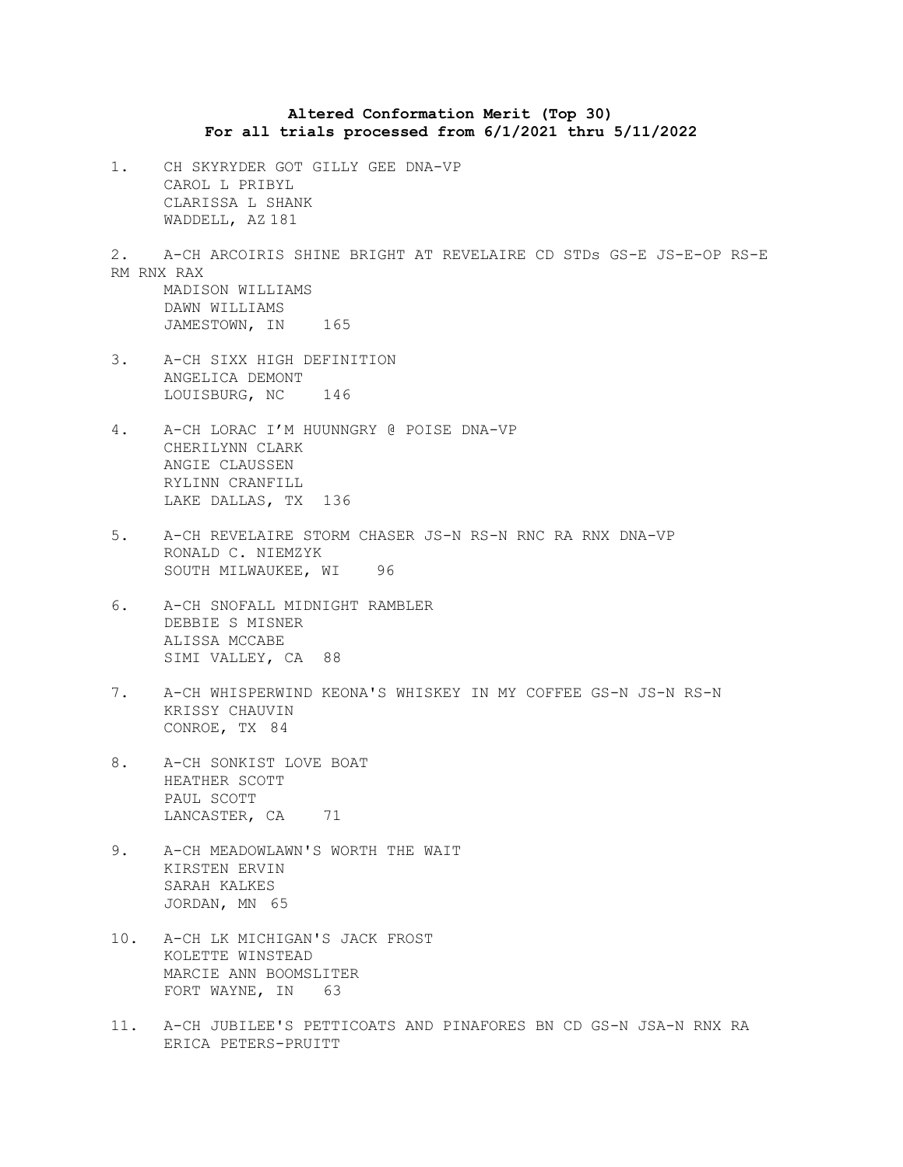## **Altered Conformation Merit (Top 30) For all trials processed from 6/1/2021 thru 5/11/2022**

1. CH SKYRYDER GOT GILLY GEE DNA-VP CAROL L PRIBYL CLARISSA L SHANK WADDELL, AZ 181

2. A-CH ARCOIRIS SHINE BRIGHT AT REVELAIRE CD STDs GS-E JS-E-OP RS-E RM RNX RAX MADISON WILLIAMS DAWN WILLIAMS

- JAMESTOWN, IN 165
- 3. A-CH SIXX HIGH DEFINITION ANGELICA DEMONT LOUISBURG, NC 146
- 4. A-CH LORAC I'M HUUNNGRY @ POISE DNA-VP CHERILYNN CLARK ANGIE CLAUSSEN RYLINN CRANFILL LAKE DALLAS, TX 136
- 5. A-CH REVELAIRE STORM CHASER JS-N RS-N RNC RA RNX DNA-VP RONALD C. NIEMZYK SOUTH MILWAUKEE, WI 96
- 6. A-CH SNOFALL MIDNIGHT RAMBLER DEBBIE S MISNER ALISSA MCCABE SIMI VALLEY, CA 88
- 7. A-CH WHISPERWIND KEONA'S WHISKEY IN MY COFFEE GS-N JS-N RS-N KRISSY CHAUVIN CONROE, TX 84
- 8. A-CH SONKIST LOVE BOAT HEATHER SCOTT PAUL SCOTT LANCASTER, CA 71
- 9. A-CH MEADOWLAWN'S WORTH THE WAIT KIRSTEN ERVIN SARAH KALKES JORDAN, MN 65
- 10. A-CH LK MICHIGAN'S JACK FROST KOLETTE WINSTEAD MARCIE ANN BOOMSLITER FORT WAYNE, IN 63
- 11. A-CH JUBILEE'S PETTICOATS AND PINAFORES BN CD GS-N JSA-N RNX RA ERICA PETERS-PRUITT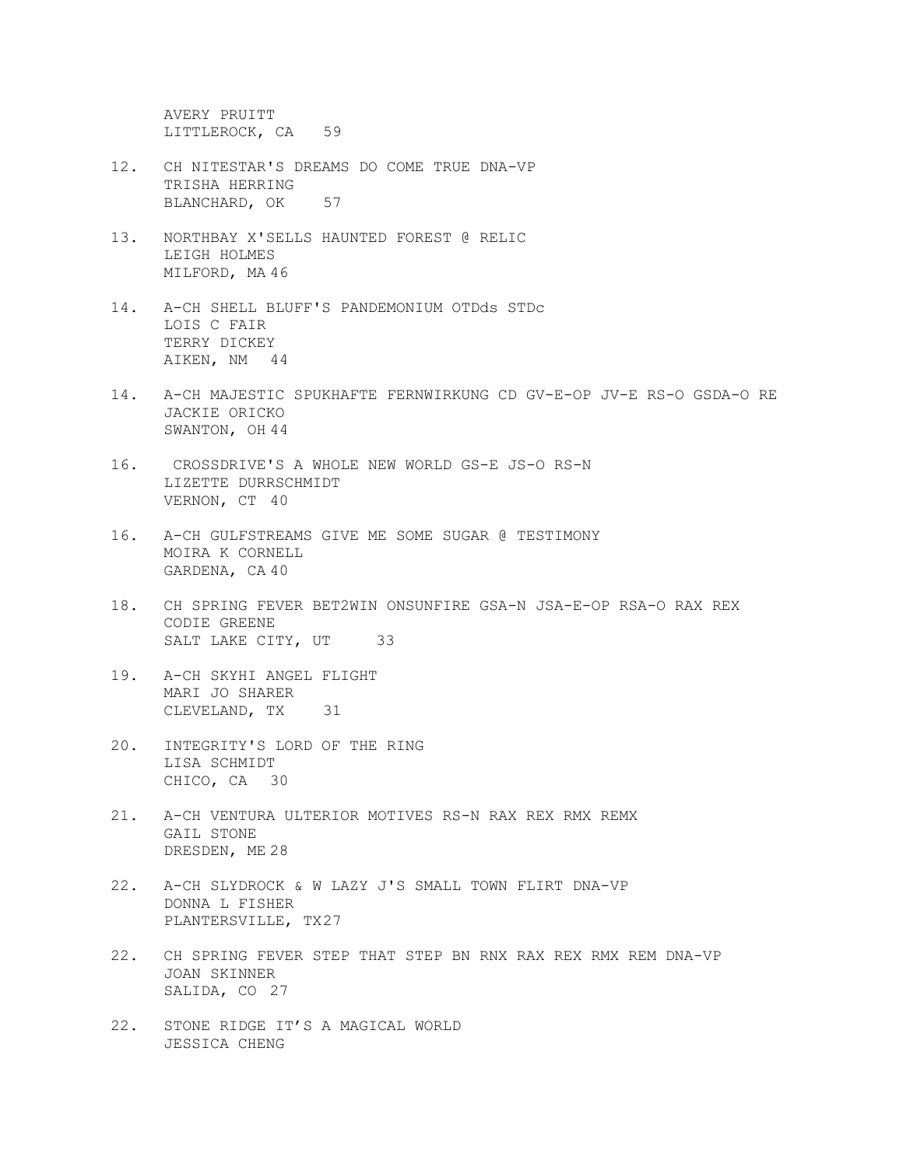AVERY PRUITT LITTLEROCK, CA 59

- 12. CH NITESTAR'S DREAMS DO COME TRUE DNA-VP TRISHA HERRING BLANCHARD, OK 57
- 13. NORTHBAY X'SELLS HAUNTED FOREST @ RELIC LEIGH HOLMES MILFORD, MA 46
- 14. A-CH SHELL BLUFF'S PANDEMONIUM OTDds STDc LOIS C FAIR TERRY DICKEY AIKEN, NM 44
- 14. A-CH MAJESTIC SPUKHAFTE FERNWIRKUNG CD GV-E-OP JV-E RS-O GSDA-O RE JACKIE ORICKO SWANTON, OH 44
- 16. CROSSDRIVE'S A WHOLE NEW WORLD GS-E JS-O RS-N LIZETTE DURRSCHMIDT VERNON, CT 40
- 16. A-CH GULFSTREAMS GIVE ME SOME SUGAR @ TESTIMONY MOIRA K CORNELL GARDENA, CA 40
- 18. CH SPRING FEVER BET2WIN ONSUNFIRE GSA-N JSA-E-OP RSA-O RAX REX CODIE GREENE SALT LAKE CITY, UT 33
- 19. A-CH SKYHI ANGEL FLIGHT MARI JO SHARER CLEVELAND, TX 31
- 20. INTEGRITY'S LORD OF THE RING LISA SCHMIDT CHICO, CA 30
- 21. A-CH VENTURA ULTERIOR MOTIVES RS-N RAX REX RMX REMX GAIL STONE DRESDEN, ME 28
- 22. A-CH SLYDROCK & W LAZY J'S SMALL TOWN FLIRT DNA-VP DONNA L FISHER PLANTERSVILLE, TX27
- 22. CH SPRING FEVER STEP THAT STEP BN RNX RAX REX RMX REM DNA-VP JOAN SKINNER SALIDA, CO 27
- 22. STONE RIDGE IT'S A MAGICAL WORLD JESSICA CHENG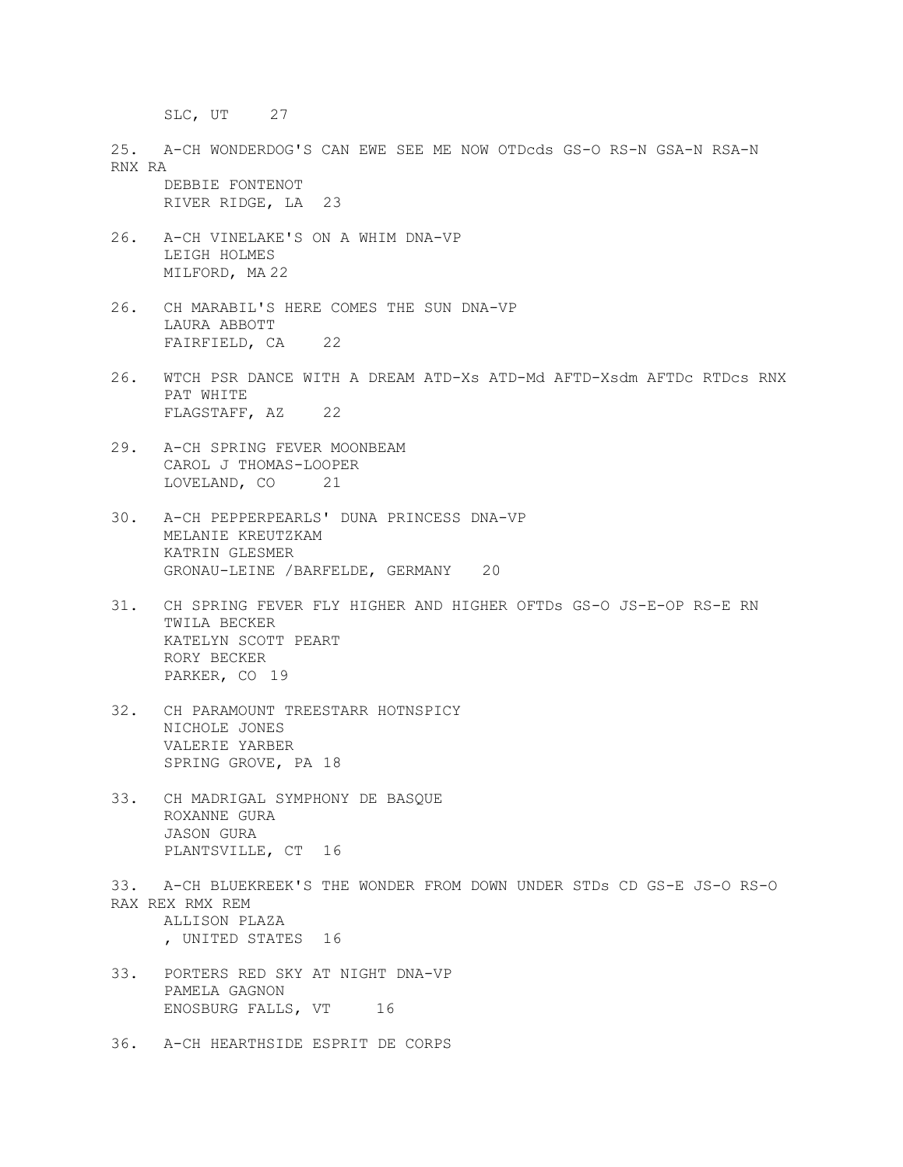SLC, UT 27

25. A-CH WONDERDOG'S CAN EWE SEE ME NOW OTDcds GS-O RS-N GSA-N RSA-N RNX RA

DEBBIE FONTENOT RIVER RIDGE, LA 23

- 26. A-CH VINELAKE'S ON A WHIM DNA-VP LEIGH HOLMES MILFORD, MA 22
- 26. CH MARABIL'S HERE COMES THE SUN DNA-VP LAURA ABBOTT FAIRFIELD, CA 22
- 26. WTCH PSR DANCE WITH A DREAM ATD-Xs ATD-Md AFTD-Xsdm AFTDc RTDcs RNX PAT WHITE FLAGSTAFF, AZ 22
- 29. A-CH SPRING FEVER MOONBEAM CAROL J THOMAS-LOOPER LOVELAND, CO 21
- 30. A-CH PEPPERPEARLS' DUNA PRINCESS DNA-VP MELANIE KREUTZKAM KATRIN GLESMER GRONAU-LEINE /BARFELDE, GERMANY 20
- 31. CH SPRING FEVER FLY HIGHER AND HIGHER OFTDs GS-O JS-E-OP RS-E RN TWILA BECKER KATELYN SCOTT PEART RORY BECKER PARKER, CO 19
- 32. CH PARAMOUNT TREESTARR HOTNSPICY NICHOLE JONES VALERIE YARBER SPRING GROVE, PA 18
- 33. CH MADRIGAL SYMPHONY DE BASQUE ROXANNE GURA JASON GURA PLANTSVILLE, CT 16
- 33. A-CH BLUEKREEK'S THE WONDER FROM DOWN UNDER STDs CD GS-E JS-O RS-O RAX REX RMX REM ALLISON PLAZA , UNITED STATES 16
- 33. PORTERS RED SKY AT NIGHT DNA-VP PAMELA GAGNON ENOSBURG FALLS, VT 16
- 36. A-CH HEARTHSIDE ESPRIT DE CORPS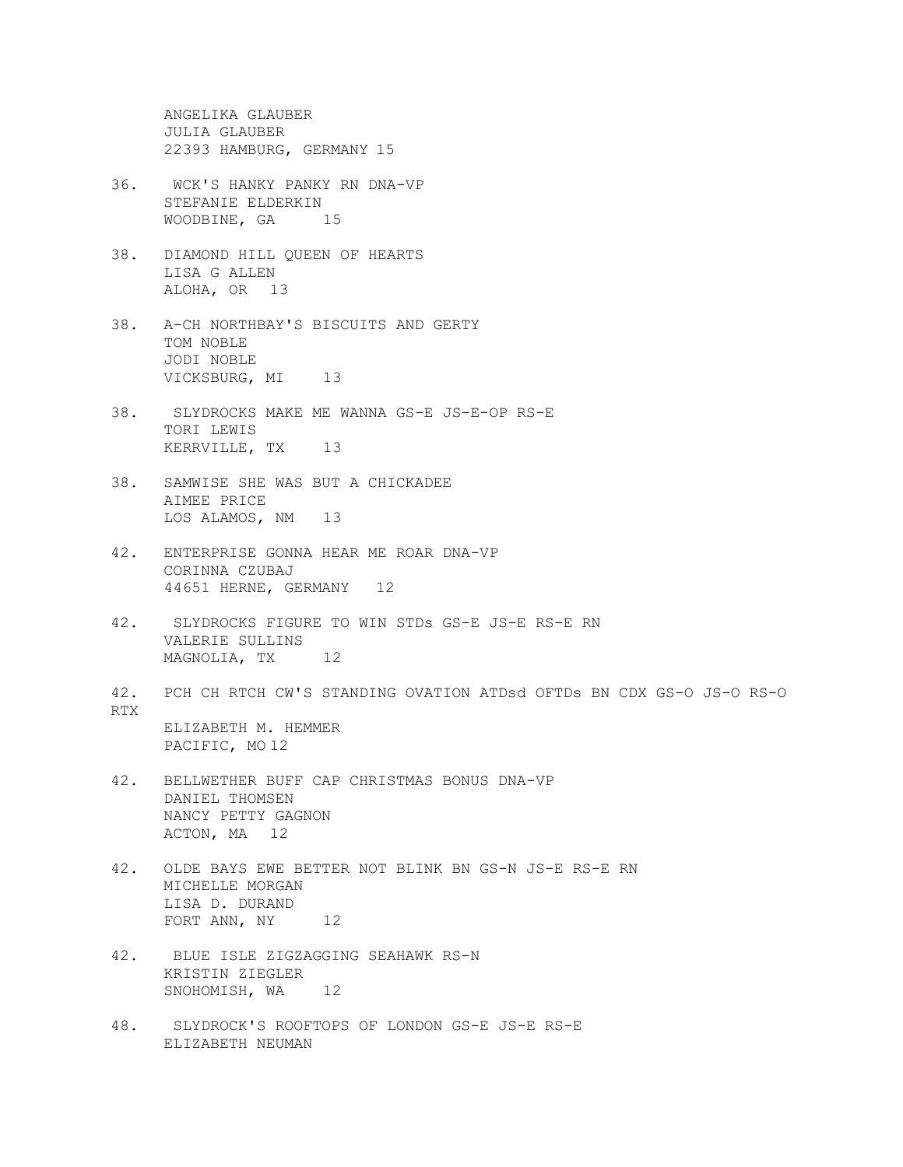ANGELIKA GLAUBER JULIA GLAUBER 22393 HAMBURG, GERMANY 15

- 36. WCK'S HANKY PANKY RN DNA-VP STEFANIE ELDERKIN WOODBINE, GA 15
- 38. DIAMOND HILL QUEEN OF HEARTS LISA G ALLEN ALOHA, OR 13
- 38. A-CH NORTHBAY'S BISCUITS AND GERTY TOM NOBLE JODI NOBLE VICKSBURG, MI 13
- 38. SLYDROCKS MAKE ME WANNA GS-E JS-E-OP RS-E TORI LEWIS KERRVILLE, TX 13
- 38. SAMWISE SHE WAS BUT A CHICKADEE AIMEE PRICE LOS ALAMOS, NM 13
- 42. ENTERPRISE GONNA HEAR ME ROAR DNA-VP CORINNA CZUBAJ 44651 HERNE, GERMANY 12
- 42. SLYDROCKS FIGURE TO WIN STDs GS-E JS-E RS-E RN VALERIE SULLINS MAGNOLIA, TX 12
- 42. PCH CH RTCH CW'S STANDING OVATION ATDsd OFTDs BN CDX GS-O JS-O RS-O RTX ELIZABETH M. HEMMER PACIFIC, MO 12
- 42. BELLWETHER BUFF CAP CHRISTMAS BONUS DNA-VP DANIEL THOMSEN NANCY PETTY GAGNON ACTON, MA 12
- 42. OLDE BAYS EWE BETTER NOT BLINK BN GS-N JS-E RS-E RN MICHELLE MORGAN LISA D. DURAND FORT ANN, NY 12
- 42. BLUE ISLE ZIGZAGGING SEAHAWK RS-N KRISTIN ZIEGLER SNOHOMISH, WA<sub>12</sub>
- 48. SLYDROCK'S ROOFTOPS OF LONDON GS-E JS-E RS-E ELIZABETH NEUMAN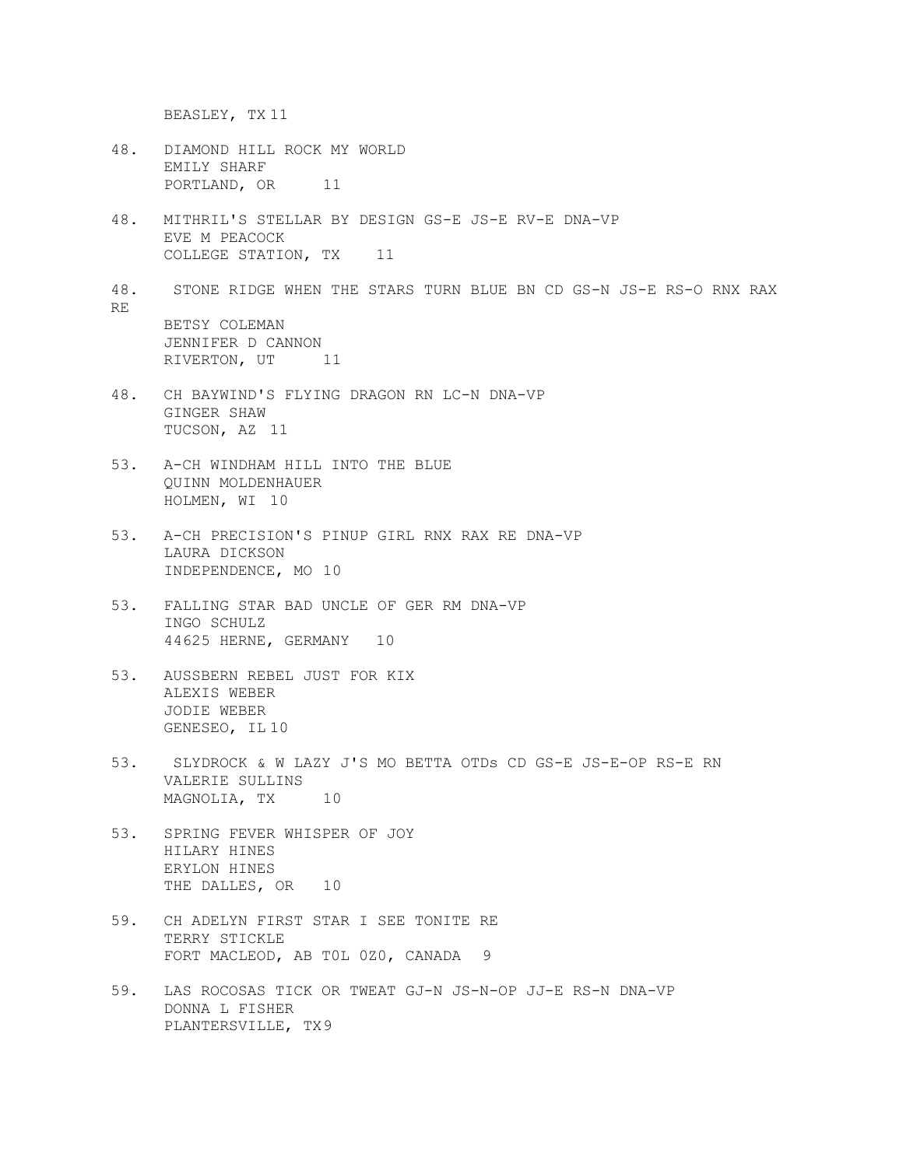BEASLEY, TX 11

- 48. DIAMOND HILL ROCK MY WORLD EMILY SHARF PORTLAND, OR 11
- 48. MITHRIL'S STELLAR BY DESIGN GS-E JS-E RV-E DNA-VP EVE M PEACOCK COLLEGE STATION, TX 11
- 48. STONE RIDGE WHEN THE STARS TURN BLUE BN CD GS-N JS-E RS-O RNX RAX RE BETSY COLEMAN JENNIFER D CANNON RIVERTON, UT<sub>11</sub>
- 48. CH BAYWIND'S FLYING DRAGON RN LC-N DNA-VP GINGER SHAW TUCSON, AZ 11
- 53. A-CH WINDHAM HILL INTO THE BLUE QUINN MOLDENHAUER HOLMEN, WI 10
- 53. A-CH PRECISION'S PINUP GIRL RNX RAX RE DNA-VP LAURA DICKSON INDEPENDENCE, MO 10
- 53. FALLING STAR BAD UNCLE OF GER RM DNA-VP INGO SCHULZ 44625 HERNE, GERMANY 10
- 53. AUSSBERN REBEL JUST FOR KIX ALEXIS WEBER JODIE WEBER GENESEO, IL 10
- 53. SLYDROCK & W LAZY J'S MO BETTA OTDs CD GS-E JS-E-OP RS-E RN VALERIE SULLINS MAGNOLIA, TX 10
- 53. SPRING FEVER WHISPER OF JOY HILARY HINES ERYLON HINES THE DALLES, OR 10
- 59. CH ADELYN FIRST STAR I SEE TONITE RE TERRY STICKLE FORT MACLEOD, AB T0L 0Z0, CANADA 9
- 59. LAS ROCOSAS TICK OR TWEAT GJ-N JS-N-OP JJ-E RS-N DNA-VP DONNA L FISHER PLANTERSVILLE, TX9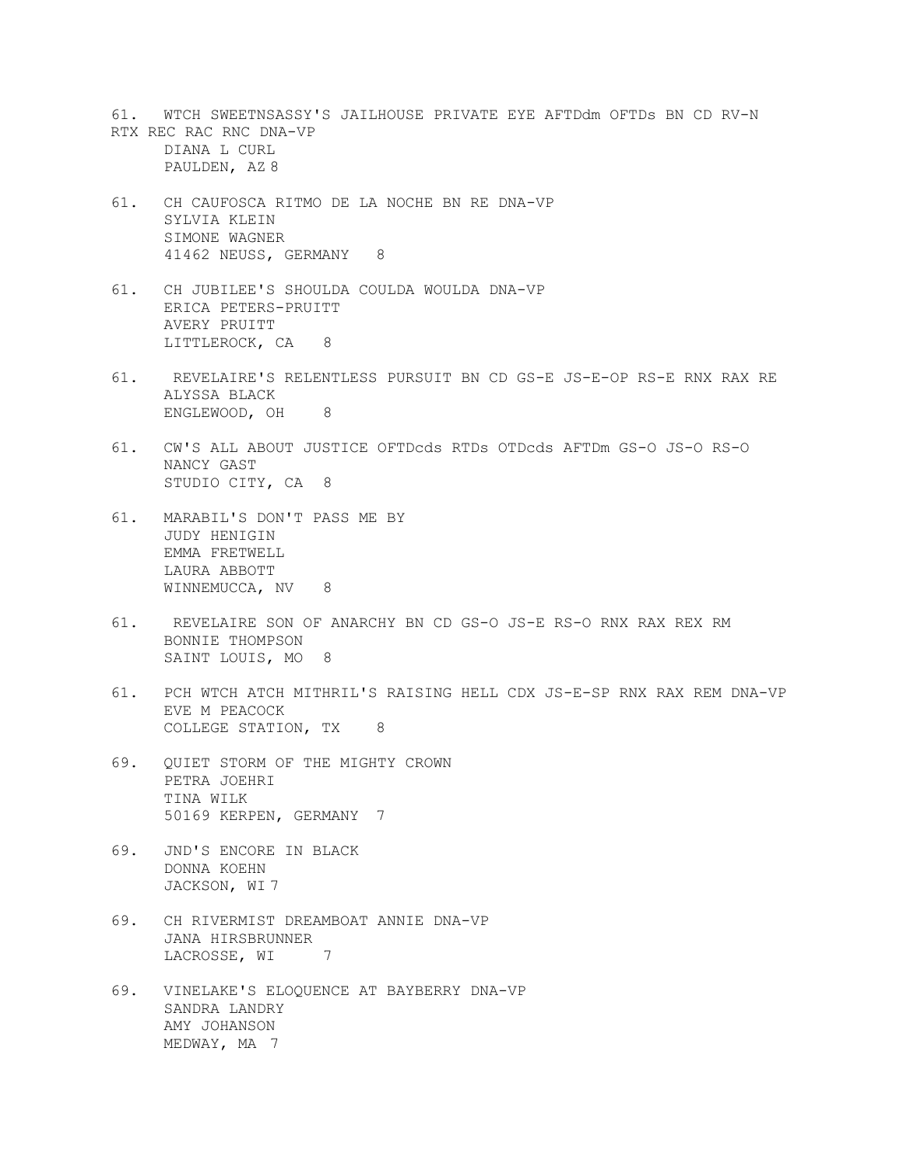- 61. WTCH SWEETNSASSY'S JAILHOUSE PRIVATE EYE AFTDdm OFTDs BN CD RV-N RTX REC RAC RNC DNA-VP DIANA L CURL PAULDEN, AZ 8
- 61. CH CAUFOSCA RITMO DE LA NOCHE BN RE DNA-VP SYLVIA KLEIN SIMONE WAGNER 41462 NEUSS, GERMANY 8
- 61. CH JUBILEE'S SHOULDA COULDA WOULDA DNA-VP ERICA PETERS-PRUITT AVERY PRUITT LITTLEROCK, CA 8
- 61. REVELAIRE'S RELENTLESS PURSUIT BN CD GS-E JS-E-OP RS-E RNX RAX RE ALYSSA BLACK ENGLEWOOD, OH 8
- 61. CW'S ALL ABOUT JUSTICE OFTDcds RTDs OTDcds AFTDm GS-O JS-O RS-O NANCY GAST STUDIO CITY, CA 8
- 61. MARABIL'S DON'T PASS ME BY JUDY HENIGIN EMMA FRETWELL LAURA ABBOTT WINNEMUCCA, NV 8
- 61. REVELAIRE SON OF ANARCHY BN CD GS-O JS-E RS-O RNX RAX REX RM BONNIE THOMPSON SAINT LOUIS, MO 8
- 61. PCH WTCH ATCH MITHRIL'S RAISING HELL CDX JS-E-SP RNX RAX REM DNA-VP EVE M PEACOCK COLLEGE STATION, TX 8
- 69. QUIET STORM OF THE MIGHTY CROWN PETRA JOEHRI TINA WILK 50169 KERPEN, GERMANY 7
- 69. JND'S ENCORE IN BLACK DONNA KOEHN JACKSON, WI 7
- 69. CH RIVERMIST DREAMBOAT ANNIE DNA-VP JANA HIRSBRUNNER<br>LACROSSE, WI LACROSSE, WI 7
- 69. VINELAKE'S ELOQUENCE AT BAYBERRY DNA-VP SANDRA LANDRY AMY JOHANSON MEDWAY, MA 7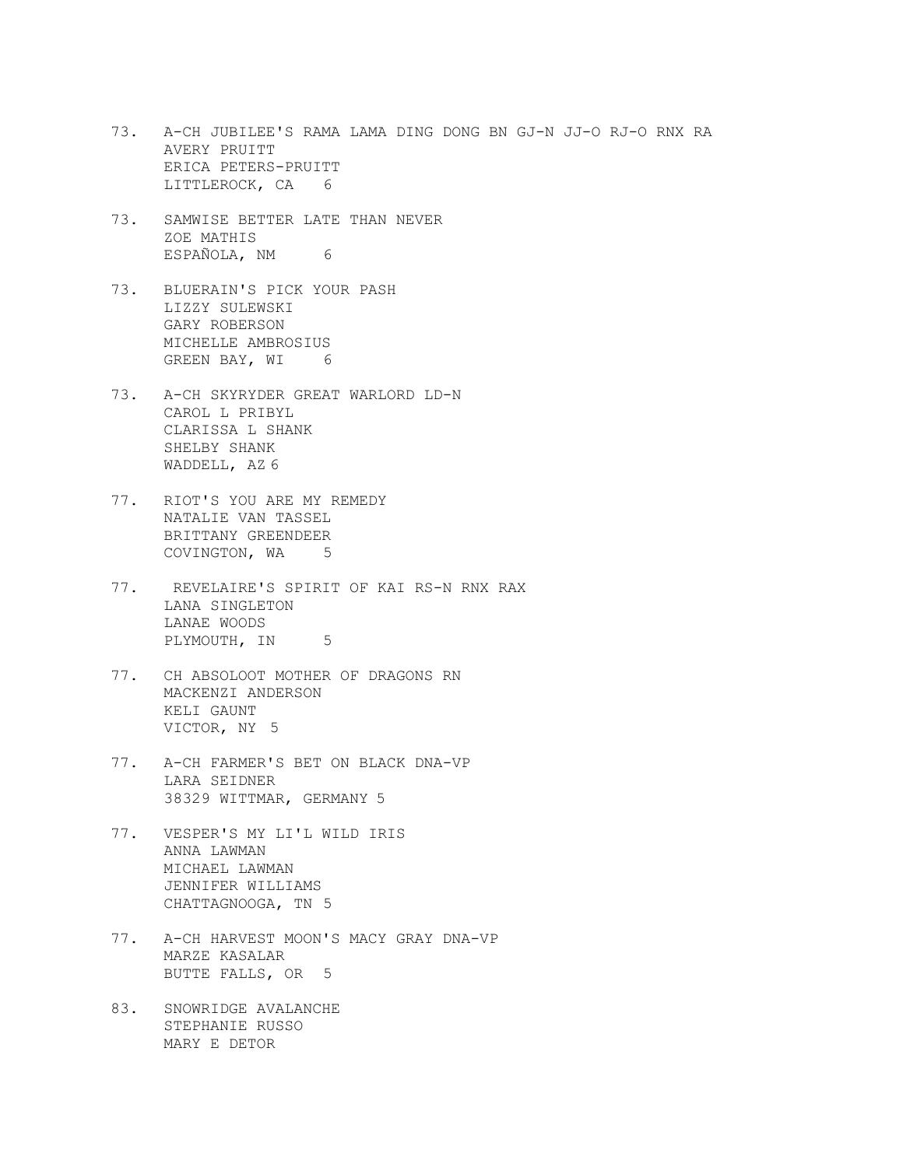- 73. A-CH JUBILEE'S RAMA LAMA DING DONG BN GJ-N JJ-O RJ-O RNX RA AVERY PRUITT ERICA PETERS-PRUITT LITTLEROCK, CA 6
- 73. SAMWISE BETTER LATE THAN NEVER ZOE MATHIS ESPAÑOLA, NM 6
- 73. BLUERAIN'S PICK YOUR PASH LIZZY SULEWSKI GARY ROBERSON MICHELLE AMBROSIUS GREEN BAY, WI 6
- 73. A-CH SKYRYDER GREAT WARLORD LD-N CAROL L PRIBYL CLARISSA L SHANK SHELBY SHANK WADDELL, AZ 6
- 77. RIOT'S YOU ARE MY REMEDY NATALIE VAN TASSEL BRITTANY GREENDEER COVINGTON, WA<sub>5</sub>
- 77. REVELAIRE'S SPIRIT OF KAI RS-N RNX RAX LANA SINGLETON LANAE WOODS PLYMOUTH, IN 5
- 77. CH ABSOLOOT MOTHER OF DRAGONS RN MACKENZI ANDERSON KELI GAUNT VICTOR, NY 5
- 77. A-CH FARMER'S BET ON BLACK DNA-VP LARA SEIDNER 38329 WITTMAR, GERMANY 5
- 77. VESPER'S MY LI'L WILD IRIS ANNA LAWMAN MICHAEL LAWMAN JENNIFER WILLIAMS CHATTAGNOOGA, TN 5
- 77. A-CH HARVEST MOON'S MACY GRAY DNA-VP MARZE KASALAR BUTTE FALLS, OR 5
- 83. SNOWRIDGE AVALANCHE STEPHANIE RUSSO MARY E DETOR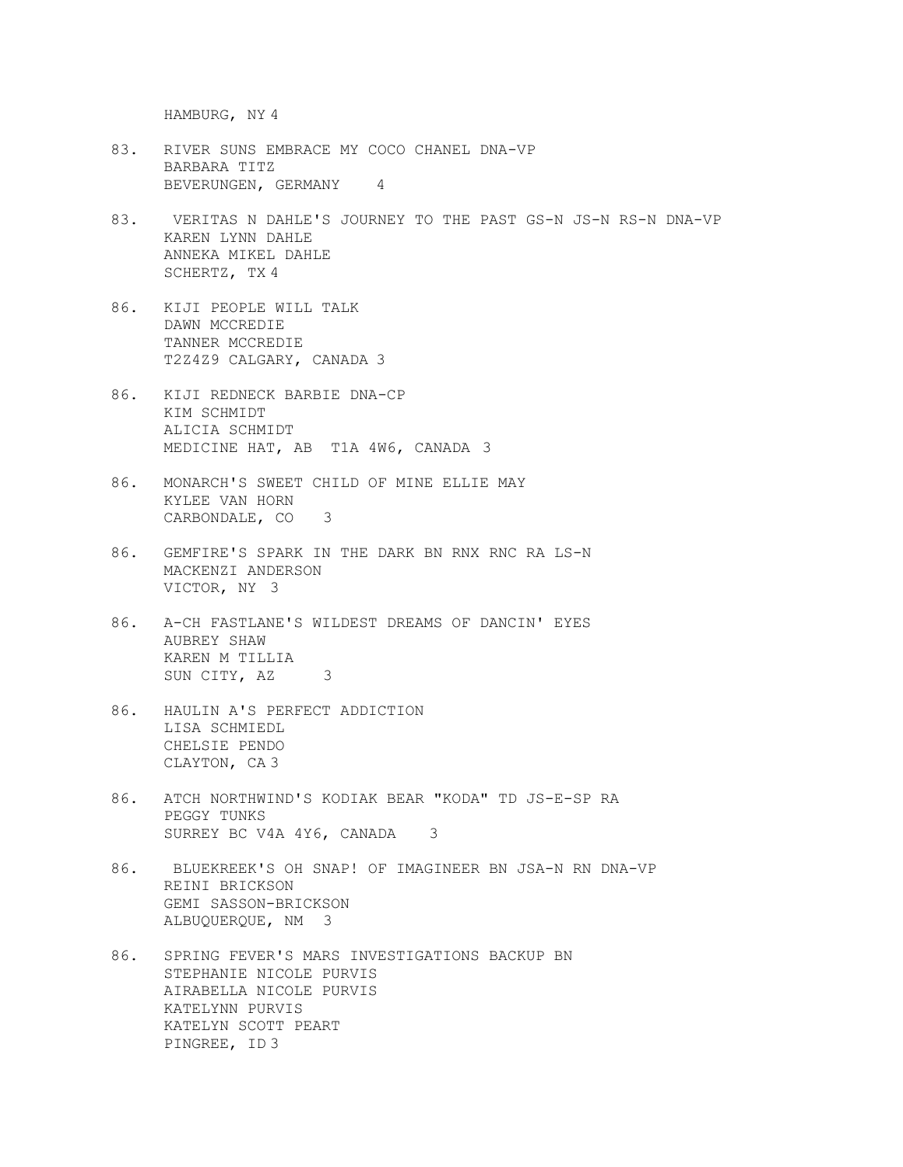HAMBURG, NY 4

- 83. RIVER SUNS EMBRACE MY COCO CHANEL DNA-VP BARBARA TITZ BEVERUNGEN, GERMANY 4
- 83. VERITAS N DAHLE'S JOURNEY TO THE PAST GS-N JS-N RS-N DNA-VP KAREN LYNN DAHLE ANNEKA MIKEL DAHLE SCHERTZ, TX 4
- 86. KIJI PEOPLE WILL TALK DAWN MCCREDIE TANNER MCCREDIE T2Z4Z9 CALGARY, CANADA 3
- 86. KIJI REDNECK BARBIE DNA-CP KIM SCHMIDT ALICIA SCHMIDT MEDICINE HAT, AB T1A 4W6, CANADA 3
- 86. MONARCH'S SWEET CHILD OF MINE ELLIE MAY KYLEE VAN HORN CARBONDALE, CO 3
- 86. GEMFIRE'S SPARK IN THE DARK BN RNX RNC RA LS-N MACKENZI ANDERSON VICTOR, NY 3
- 86. A-CH FASTLANE'S WILDEST DREAMS OF DANCIN' EYES AUBREY SHAW KAREN M TILLIA SUN CITY, AZ 3
- 86. HAULIN A'S PERFECT ADDICTION LISA SCHMIEDL CHELSIE PENDO CLAYTON, CA 3
- 86. ATCH NORTHWIND'S KODIAK BEAR "KODA" TD JS-E-SP RA PEGGY TUNKS SURREY BC V4A 4Y6, CANADA 3
- 86. BLUEKREEK'S OH SNAP! OF IMAGINEER BN JSA-N RN DNA-VP REINI BRICKSON GEMI SASSON-BRICKSON ALBUQUERQUE, NM 3
- 86. SPRING FEVER'S MARS INVESTIGATIONS BACKUP BN STEPHANIE NICOLE PURVIS AIRABELLA NICOLE PURVIS KATELYNN PURVIS KATELYN SCOTT PEART PINGREE, ID 3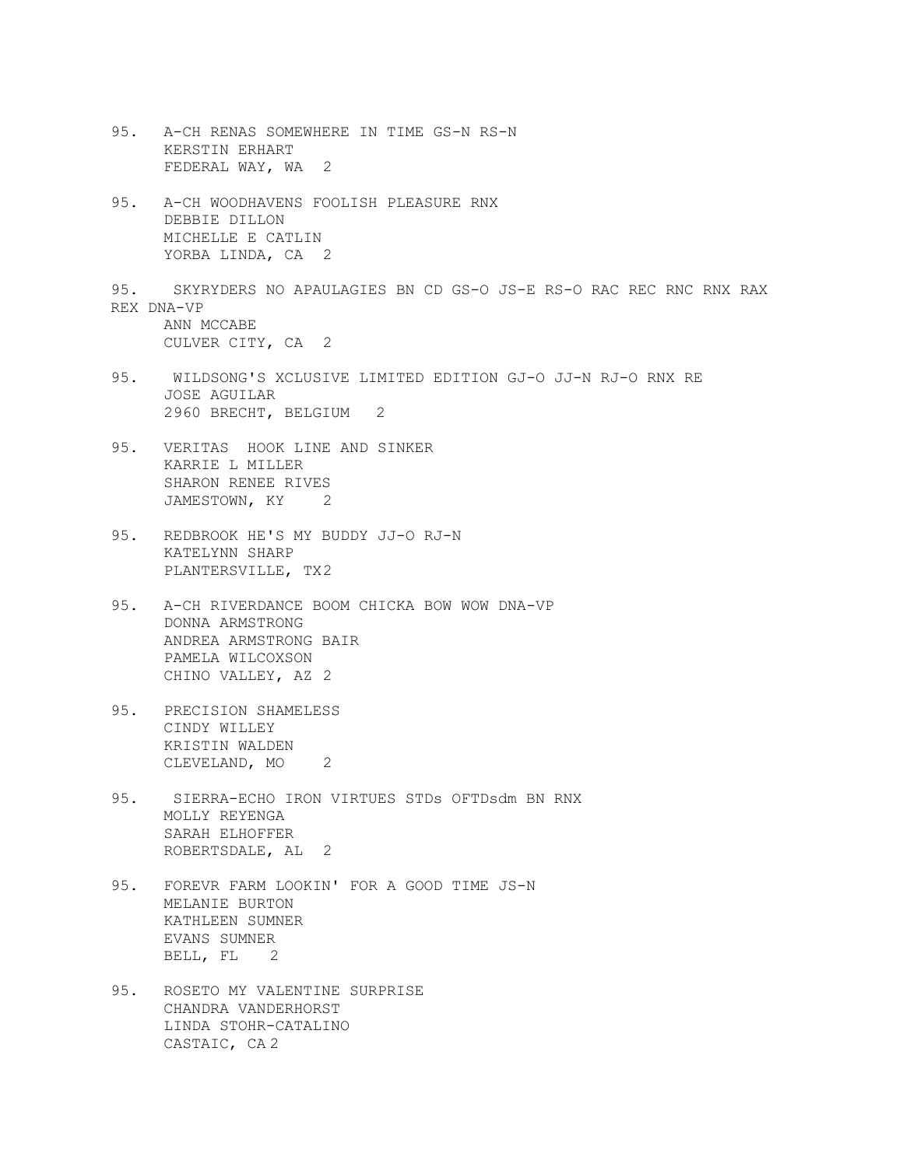- 95. A-CH RENAS SOMEWHERE IN TIME GS-N RS-N KERSTIN ERHART FEDERAL WAY, WA 2 95. A-CH WOODHAVENS FOOLISH PLEASURE RNX DEBBIE DILLON MICHELLE E CATLIN YORBA LINDA, CA 2 95. SKYRYDERS NO APAULAGIES BN CD GS-O JS-E RS-O RAC REC RNC RNX RAX REX DNA-VP ANN MCCABE CULVER CITY, CA 2 95. WILDSONG'S XCLUSIVE LIMITED EDITION GJ-O JJ-N RJ-O RNX RE JOSE AGUILAR 2960 BRECHT, BELGIUM 2 95. VERITAS HOOK LINE AND SINKER KARRIE L MILLER SHARON RENEE RIVES JAMESTOWN, KY 2 95. REDBROOK HE'S MY BUDDY JJ-O RJ-N KATELYNN SHARP PLANTERSVILLE, TX2 95. A-CH RIVERDANCE BOOM CHICKA BOW WOW DNA-VP DONNA ARMSTRONG ANDREA ARMSTRONG BAIR PAMELA WILCOXSON CHINO VALLEY, AZ 2 95. PRECISION SHAMELESS CINDY WILLEY KRISTIN WALDEN CLEVELAND, MO<sub>2</sub> 95. SIERRA-ECHO IRON VIRTUES STDs OFTDsdm BN RNX MOLLY REYENGA SARAH ELHOFFER ROBERTSDALE, AL 2 95. FOREVR FARM LOOKIN' FOR A GOOD TIME JS-N MELANIE BURTON KATHLEEN SUMNER EVANS SUMNER BELL, FL 2 95. ROSETO MY VALENTINE SURPRISE CHANDRA VANDERHORST
	- LINDA STOHR-CATALINO CASTAIC, CA 2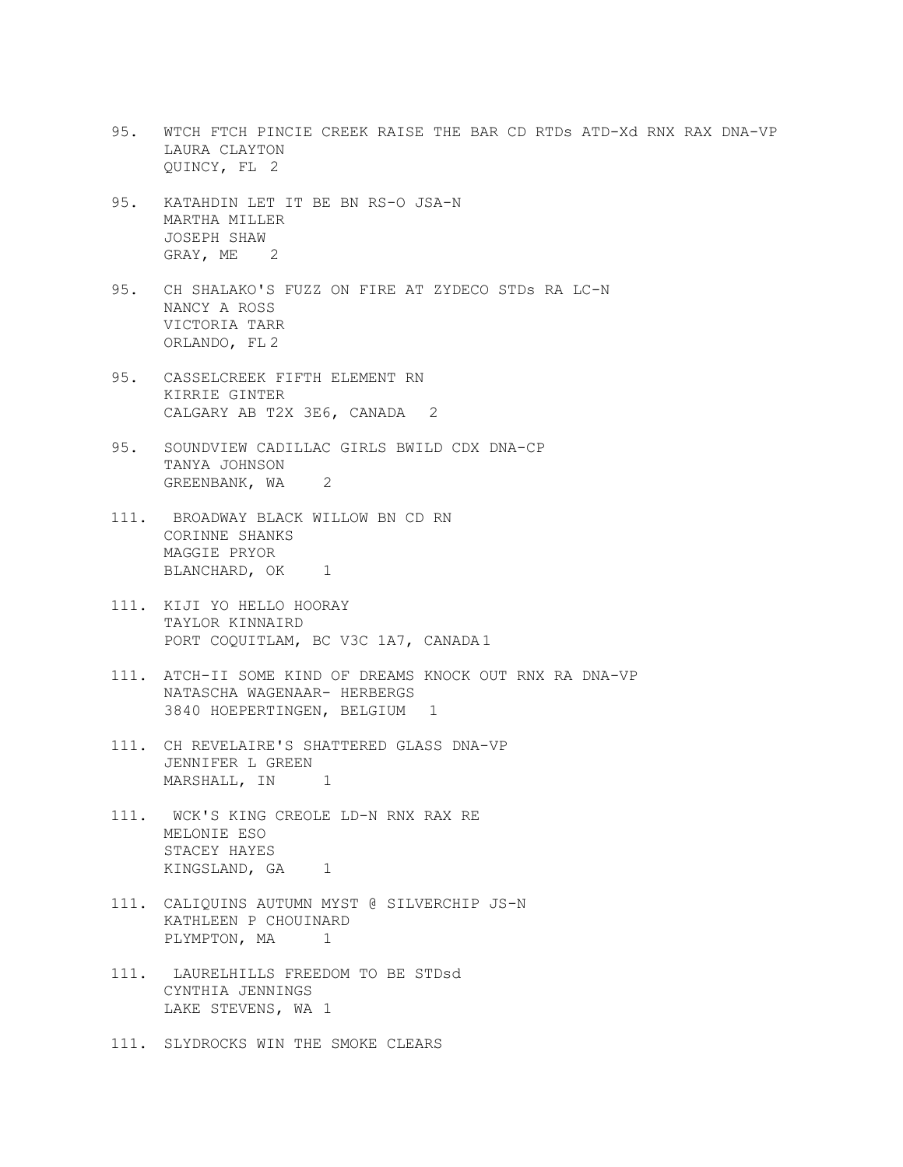- 95. WTCH FTCH PINCIE CREEK RAISE THE BAR CD RTDs ATD-Xd RNX RAX DNA-VP LAURA CLAYTON QUINCY, FL 2
- 95. KATAHDIN LET IT BE BN RS-O JSA-N MARTHA MILLER JOSEPH SHAW GRAY, ME 2
- 95. CH SHALAKO'S FUZZ ON FIRE AT ZYDECO STDs RA LC-N NANCY A ROSS VICTORIA TARR ORLANDO, FL 2
- 95. CASSELCREEK FIFTH ELEMENT RN KIRRIE GINTER CALGARY AB T2X 3E6, CANADA 2
- 95. SOUNDVIEW CADILLAC GIRLS BWILD CDX DNA-CP TANYA JOHNSON GREENBANK, WA<sub>2</sub>
- 111. BROADWAY BLACK WILLOW BN CD RN CORINNE SHANKS MAGGIE PRYOR BLANCHARD, OK 1
- 111. KIJI YO HELLO HOORAY TAYLOR KINNAIRD PORT COQUITLAM, BC V3C 1A7, CANADA 1
- 111. ATCH-II SOME KIND OF DREAMS KNOCK OUT RNX RA DNA-VP NATASCHA WAGENAAR- HERBERGS 3840 HOEPERTINGEN, BELGIUM 1
- 111. CH REVELAIRE'S SHATTERED GLASS DNA-VP JENNIFER L GREEN MARSHALL, IN 1
- 111. WCK'S KING CREOLE LD-N RNX RAX RE MELONIE ESO STACEY HAYES KINGSLAND, GA 1
- 111. CALIQUINS AUTUMN MYST @ SILVERCHIP JS-N KATHLEEN P CHOUINARD PLYMPTON, MA<sub>1</sub>
- 111. LAURELHILLS FREEDOM TO BE STDsd CYNTHIA JENNINGS LAKE STEVENS, WA 1
- 111. SLYDROCKS WIN THE SMOKE CLEARS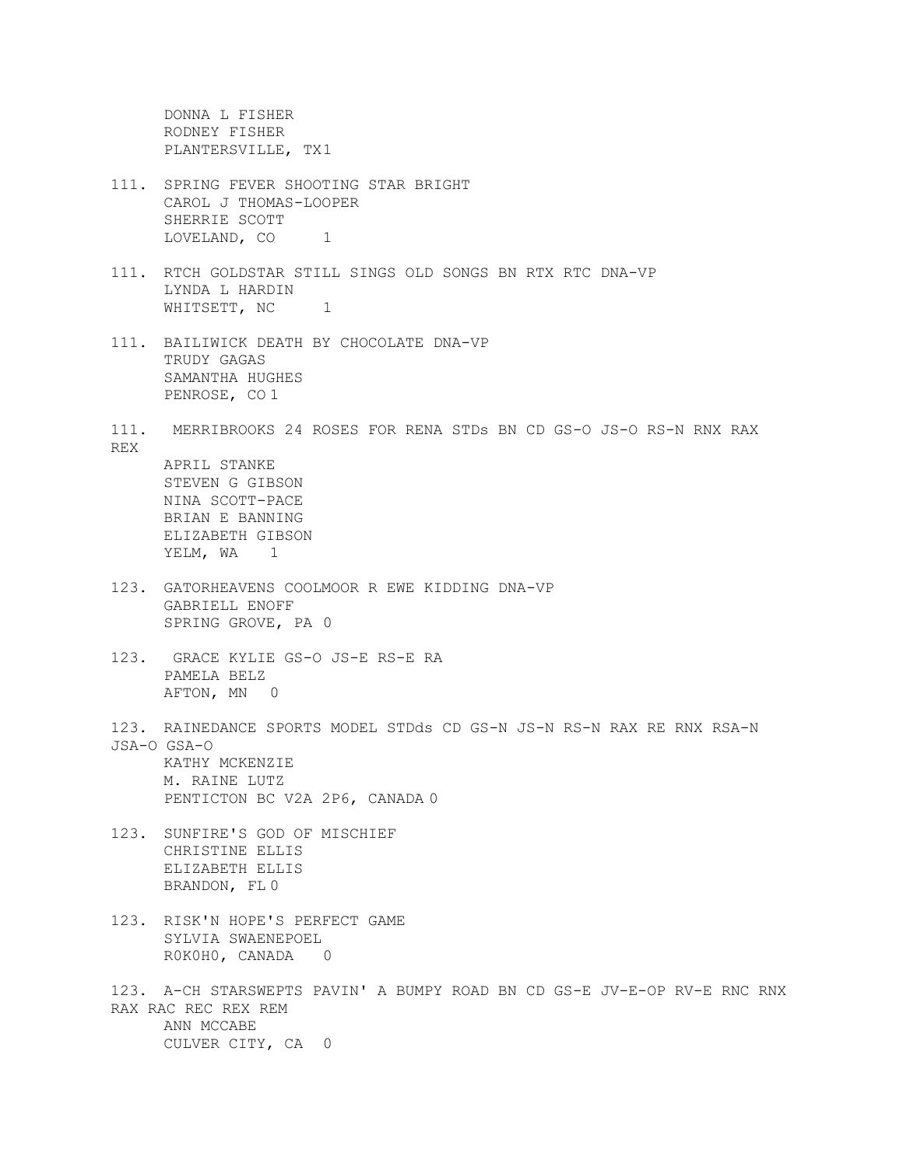DONNA L FISHER RODNEY FISHER PLANTERSVILLE, TX1

- 111. SPRING FEVER SHOOTING STAR BRIGHT CAROL J THOMAS-LOOPER SHERRIE SCOTT LOVELAND, CO<sub>1</sub>
- 111. RTCH GOLDSTAR STILL SINGS OLD SONGS BN RTX RTC DNA-VP LYNDA L HARDIN WHITSETT, NC 1
- 111. BAILIWICK DEATH BY CHOCOLATE DNA-VP TRUDY GAGAS SAMANTHA HUGHES PENROSE, CO 1
- 111. MERRIBROOKS 24 ROSES FOR RENA STDs BN CD GS-O JS-O RS-N RNX RAX REX APRIL STANKE STEVEN G GIBSON NINA SCOTT-PACE

BRIAN E BANNING ELIZABETH GIBSON YELM, WA 1

- 123. GATORHEAVENS COOLMOOR R EWE KIDDING DNA-VP GABRIELL ENOFF SPRING GROVE, PA 0
- 123. GRACE KYLIE GS-O JS-E RS-E RA PAMELA BELZ AFTON, MN 0
- 123. RAINEDANCE SPORTS MODEL STDds CD GS-N JS-N RS-N RAX RE RNX RSA-N JSA-O GSA-O KATHY MCKENZIE M. RAINE LUTZ PENTICTON BC V2A 2P6, CANADA 0
- 123. SUNFIRE'S GOD OF MISCHIEF CHRISTINE ELLIS ELIZABETH ELLIS BRANDON, FL 0
- 123. RISK'N HOPE'S PERFECT GAME SYLVIA SWAENEPOEL R0K0H0, CANADA 0
- 123. A-CH STARSWEPTS PAVIN' A BUMPY ROAD BN CD GS-E JV-E-OP RV-E RNC RNX RAX RAC REC REX REM ANN MCCABE CULVER CITY, CA 0